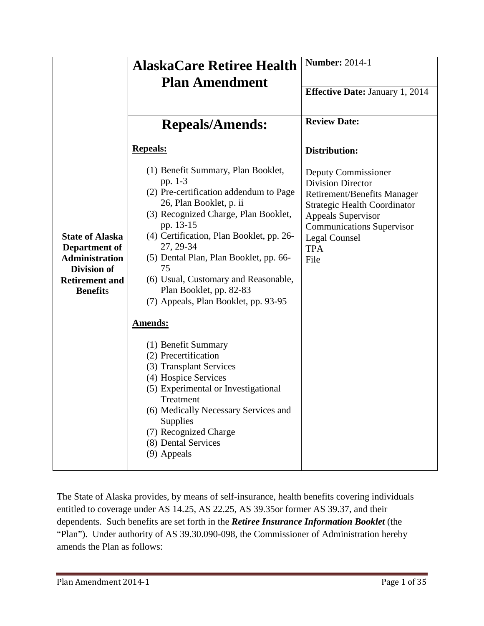|                                                                                                                                    | <b>AlaskaCare Retiree Health</b>                                                                                                                                                                                                                                                                                                                                                                                                                                                                                                                                                                                                                                                       | <b>Number: 2014-1</b>                                                                                                                                                                                                                |
|------------------------------------------------------------------------------------------------------------------------------------|----------------------------------------------------------------------------------------------------------------------------------------------------------------------------------------------------------------------------------------------------------------------------------------------------------------------------------------------------------------------------------------------------------------------------------------------------------------------------------------------------------------------------------------------------------------------------------------------------------------------------------------------------------------------------------------|--------------------------------------------------------------------------------------------------------------------------------------------------------------------------------------------------------------------------------------|
|                                                                                                                                    | <b>Plan Amendment</b>                                                                                                                                                                                                                                                                                                                                                                                                                                                                                                                                                                                                                                                                  |                                                                                                                                                                                                                                      |
|                                                                                                                                    |                                                                                                                                                                                                                                                                                                                                                                                                                                                                                                                                                                                                                                                                                        | <b>Effective Date: January 1, 2014</b>                                                                                                                                                                                               |
|                                                                                                                                    |                                                                                                                                                                                                                                                                                                                                                                                                                                                                                                                                                                                                                                                                                        |                                                                                                                                                                                                                                      |
|                                                                                                                                    | <b>Repeals/Amends:</b>                                                                                                                                                                                                                                                                                                                                                                                                                                                                                                                                                                                                                                                                 | <b>Review Date:</b>                                                                                                                                                                                                                  |
|                                                                                                                                    | <b>Repeals:</b>                                                                                                                                                                                                                                                                                                                                                                                                                                                                                                                                                                                                                                                                        | <b>Distribution:</b>                                                                                                                                                                                                                 |
| <b>State of Alaska</b><br>Department of<br><b>Administration</b><br><b>Division of</b><br><b>Retirement and</b><br><b>Benefits</b> | (1) Benefit Summary, Plan Booklet,<br>pp. 1-3<br>(2) Pre-certification addendum to Page<br>26, Plan Booklet, p. ii<br>(3) Recognized Charge, Plan Booklet,<br>pp. 13-15<br>(4) Certification, Plan Booklet, pp. 26-<br>27, 29-34<br>(5) Dental Plan, Plan Booklet, pp. 66-<br>75<br>(6) Usual, Customary and Reasonable,<br>Plan Booklet, pp. 82-83<br>(7) Appeals, Plan Booklet, pp. 93-95<br><b>Amends:</b><br>(1) Benefit Summary<br>(2) Precertification<br>(3) Transplant Services<br>(4) Hospice Services<br>(5) Experimental or Investigational<br>Treatment<br>(6) Medically Necessary Services and<br>Supplies<br>(7) Recognized Charge<br>(8) Dental Services<br>(9) Appeals | Deputy Commissioner<br><b>Division Director</b><br><b>Retirement/Benefits Manager</b><br><b>Strategic Health Coordinator</b><br><b>Appeals Supervisor</b><br><b>Communications Supervisor</b><br>Legal Counsel<br><b>TPA</b><br>File |

The State of Alaska provides, by means of self-insurance, health benefits covering individuals entitled to coverage under AS 14.25, AS 22.25, AS 39.35or former AS 39.37, and their dependents. Such benefits are set forth in the *Retiree Insurance Information Booklet* (the "Plan"). Under authority of AS 39.30.090-098, the Commissioner of Administration hereby amends the Plan as follows: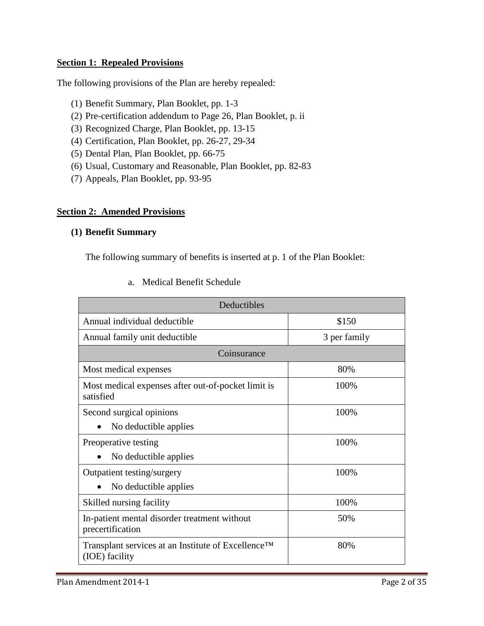### **Section 1: Repealed Provisions**

The following provisions of the Plan are hereby repealed:

- (1) Benefit Summary, Plan Booklet, pp. 1-3
- (2) Pre-certification addendum to Page 26, Plan Booklet, p. ii
- (3) Recognized Charge, Plan Booklet, pp. 13-15
- (4) Certification, Plan Booklet, pp. 26-27, 29-34
- (5) Dental Plan, Plan Booklet, pp. 66-75
- (6) Usual, Customary and Reasonable, Plan Booklet, pp. 82-83
- (7) Appeals, Plan Booklet, pp. 93-95

#### **Section 2: Amended Provisions**

## **(1) Benefit Summary**

The following summary of benefits is inserted at p. 1 of the Plan Booklet:

| Deductibles                                                          |              |  |  |  |  |  |  |
|----------------------------------------------------------------------|--------------|--|--|--|--|--|--|
| Annual individual deductible                                         | \$150        |  |  |  |  |  |  |
| Annual family unit deductible                                        | 3 per family |  |  |  |  |  |  |
| Coinsurance                                                          |              |  |  |  |  |  |  |
| Most medical expenses                                                | 80%          |  |  |  |  |  |  |
| Most medical expenses after out-of-pocket limit is<br>satisfied      | 100%         |  |  |  |  |  |  |
| Second surgical opinions                                             | 100%         |  |  |  |  |  |  |
| No deductible applies                                                |              |  |  |  |  |  |  |
| Preoperative testing                                                 | 100%         |  |  |  |  |  |  |
| No deductible applies                                                |              |  |  |  |  |  |  |
| Outpatient testing/surgery                                           | 100%         |  |  |  |  |  |  |
| No deductible applies                                                |              |  |  |  |  |  |  |
| Skilled nursing facility                                             | 100%         |  |  |  |  |  |  |
| In-patient mental disorder treatment without<br>precertification     | 50%          |  |  |  |  |  |  |
| Transplant services at an Institute of Excellence™<br>(IOE) facility | 80%          |  |  |  |  |  |  |

#### a. Medical Benefit Schedule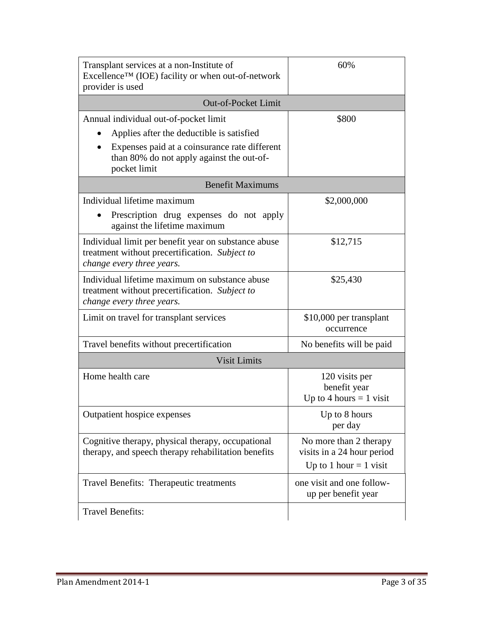| Transplant services at a non-Institute of<br>Excellence™ (IOE) facility or when out-of-network<br>provider is used                  | 60%                                                                              |
|-------------------------------------------------------------------------------------------------------------------------------------|----------------------------------------------------------------------------------|
| <b>Out-of-Pocket Limit</b>                                                                                                          |                                                                                  |
| Annual individual out-of-pocket limit                                                                                               | \$800                                                                            |
| Applies after the deductible is satisfied                                                                                           |                                                                                  |
| Expenses paid at a coinsurance rate different<br>than 80% do not apply against the out-of-<br>pocket limit                          |                                                                                  |
| <b>Benefit Maximums</b>                                                                                                             |                                                                                  |
| Individual lifetime maximum                                                                                                         | \$2,000,000                                                                      |
| Prescription drug expenses do not apply<br>against the lifetime maximum                                                             |                                                                                  |
| Individual limit per benefit year on substance abuse<br>treatment without precertification. Subject to<br>change every three years. | \$12,715                                                                         |
| Individual lifetime maximum on substance abuse<br>treatment without precertification. Subject to<br>change every three years.       | \$25,430                                                                         |
| Limit on travel for transplant services                                                                                             | \$10,000 per transplant<br>occurrence                                            |
| Travel benefits without precertification                                                                                            | No benefits will be paid                                                         |
| <b>Visit Limits</b>                                                                                                                 |                                                                                  |
| Home health care                                                                                                                    | 120 visits per<br>benefit year<br>Up to 4 hours $= 1$ visit                      |
| Outpatient hospice expenses                                                                                                         | Up to 8 hours<br>per day                                                         |
| Cognitive therapy, physical therapy, occupational<br>therapy, and speech therapy rehabilitation benefits                            | No more than 2 therapy<br>visits in a 24 hour period<br>Up to 1 hour $=$ 1 visit |
| Travel Benefits: Therapeutic treatments                                                                                             | one visit and one follow-<br>up per benefit year                                 |
| <b>Travel Benefits:</b>                                                                                                             |                                                                                  |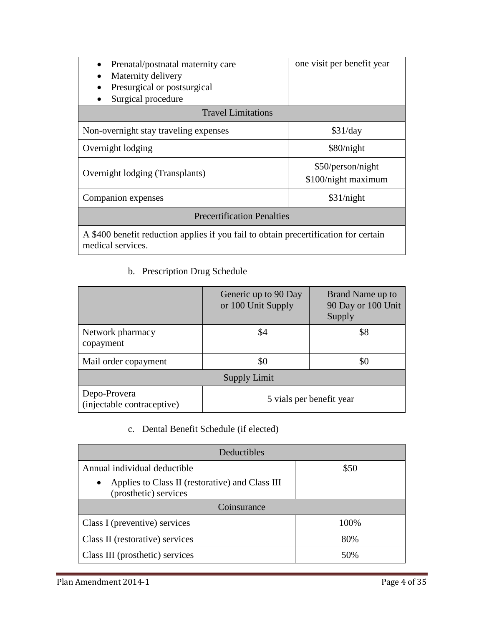| Prenatal/postnatal maternity care<br>Maternity delivery<br>Presurgical or postsurgical<br>Surgical procedure | one visit per benefit year               |  |  |  |  |
|--------------------------------------------------------------------------------------------------------------|------------------------------------------|--|--|--|--|
| <b>Travel Limitations</b>                                                                                    |                                          |  |  |  |  |
| Non-overnight stay traveling expenses                                                                        | \$31/day                                 |  |  |  |  |
| Overnight lodging                                                                                            | \$80/night                               |  |  |  |  |
| Overnight lodging (Transplants)                                                                              | \$50/person/night<br>\$100/night maximum |  |  |  |  |
| Companion expenses                                                                                           | \$31/night                               |  |  |  |  |
| <b>Precertification Penalties</b>                                                                            |                                          |  |  |  |  |
| A \$400 benefit reduction applies if you fail to obtain precertification for certain<br>medical services.    |                                          |  |  |  |  |

b. Prescription Drug Schedule

|                                            | Generic up to 90 Day<br>or 100 Unit Supply | Brand Name up to<br>90 Day or 100 Unit<br>Supply |  |  |
|--------------------------------------------|--------------------------------------------|--------------------------------------------------|--|--|
| Network pharmacy<br>copayment              | \$4                                        | \$8                                              |  |  |
| Mail order copayment                       | \$0                                        | \$0                                              |  |  |
| <b>Supply Limit</b>                        |                                            |                                                  |  |  |
| Depo-Provera<br>(injectable contraceptive) | 5 vials per benefit year                   |                                                  |  |  |

c. Dental Benefit Schedule (if elected)

| Deductibles                                                                           |      |  |  |  |  |
|---------------------------------------------------------------------------------------|------|--|--|--|--|
| Annual individual deductible                                                          | \$50 |  |  |  |  |
| Applies to Class II (restorative) and Class III<br>$\bullet$<br>(prosthetic) services |      |  |  |  |  |
| Coinsurance                                                                           |      |  |  |  |  |
| Class I (preventive) services                                                         | 100% |  |  |  |  |
| Class II (restorative) services                                                       | 80%  |  |  |  |  |
| Class III (prosthetic) services                                                       | 50%  |  |  |  |  |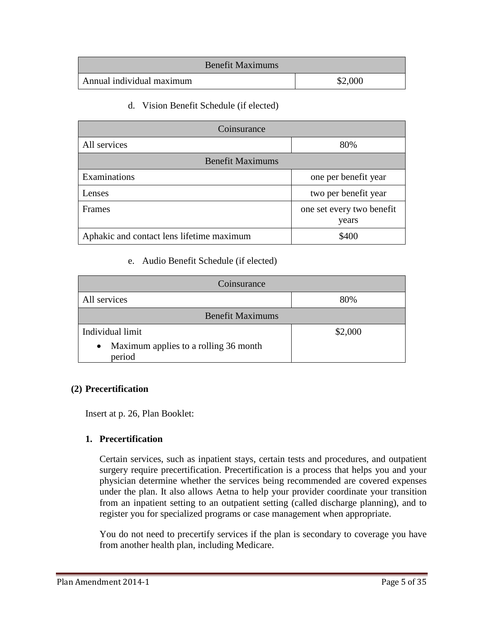|                           | <b>Benefit Maximums</b> |         |
|---------------------------|-------------------------|---------|
| Annual individual maximum |                         | \$2,000 |

d. Vision Benefit Schedule (if elected)

| Coinsurance                               |                                    |  |  |  |
|-------------------------------------------|------------------------------------|--|--|--|
| All services                              | 80%                                |  |  |  |
| <b>Benefit Maximums</b>                   |                                    |  |  |  |
| Examinations                              | one per benefit year               |  |  |  |
| Lenses                                    | two per benefit year               |  |  |  |
| Frames                                    | one set every two benefit<br>years |  |  |  |
| Aphakic and contact lens lifetime maximum | \$400                              |  |  |  |

#### e. Audio Benefit Schedule (if elected)

| Coinsurance                                                  |         |  |  |  |
|--------------------------------------------------------------|---------|--|--|--|
| All services                                                 | 80%     |  |  |  |
| <b>Benefit Maximums</b>                                      |         |  |  |  |
| Individual limit                                             | \$2,000 |  |  |  |
| Maximum applies to a rolling 36 month<br>$\bullet$<br>period |         |  |  |  |

## **(2) Precertification**

Insert at p. 26, Plan Booklet:

## **1. Precertification**

Certain services, such as inpatient stays, certain tests and procedures, and outpatient surgery require precertification. Precertification is a process that helps you and your physician determine whether the services being recommended are covered expenses under the plan. It also allows Aetna to help your provider coordinate your transition from an inpatient setting to an outpatient setting (called discharge planning), and to register you for specialized programs or case management when appropriate.

You do not need to precertify services if the plan is secondary to coverage you have from another health plan, including Medicare.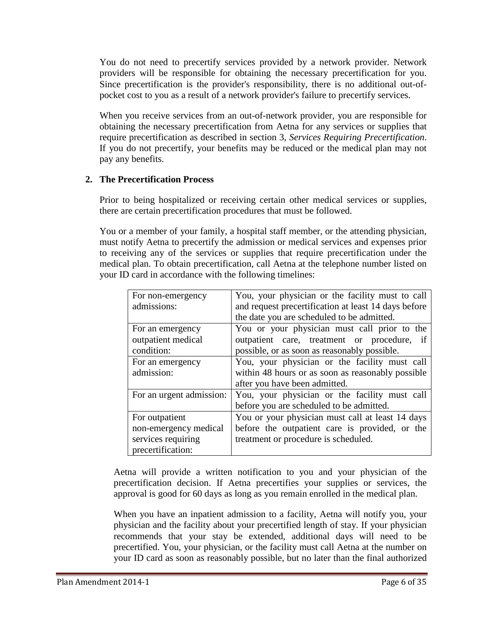You do not need to precertify services provided by a network provider. Network providers will be responsible for obtaining the necessary precertification for you. Since precertification is the provider's responsibility, there is no additional out-ofpocket cost to you as a result of a network provider's failure to precertify services.

When you receive services from an out-of-network provider, you are responsible for obtaining the necessary precertification from Aetna for any services or supplies that require precertification as described in section 3, *Services Requiring Precertification*. If you do not precertify, your benefits may be reduced or the medical plan may not pay any benefits.

# **2. The Precertification Process**

Prior to being hospitalized or receiving certain other medical services or supplies, there are certain precertification procedures that must be followed.

You or a member of your family, a hospital staff member, or the attending physician, must notify Aetna to precertify the admission or medical services and expenses prior to receiving any of the services or supplies that require precertification under the medical plan. To obtain precertification, call Aetna at the telephone number listed on your ID card in accordance with the following timelines:

| For non-emergency        | You, your physician or the facility must to call     |  |  |  |  |
|--------------------------|------------------------------------------------------|--|--|--|--|
| admissions:              | and request precertification at least 14 days before |  |  |  |  |
|                          | the date you are scheduled to be admitted.           |  |  |  |  |
| For an emergency         | You or your physician must call prior to the         |  |  |  |  |
| outpatient medical       | outpatient care, treatment or procedure, if          |  |  |  |  |
| condition:               | possible, or as soon as reasonably possible.         |  |  |  |  |
| For an emergency         | You, your physician or the facility must call        |  |  |  |  |
| admission:               | within 48 hours or as soon as reasonably possible    |  |  |  |  |
|                          | after you have been admitted.                        |  |  |  |  |
| For an urgent admission: | You, your physician or the facility must call        |  |  |  |  |
|                          | before you are scheduled to be admitted.             |  |  |  |  |
| For outpatient           | You or your physician must call at least 14 days     |  |  |  |  |
| non-emergency medical    | before the outpatient care is provided, or the       |  |  |  |  |
| services requiring       | treatment or procedure is scheduled.                 |  |  |  |  |
| precertification:        |                                                      |  |  |  |  |

Aetna will provide a written notification to you and your physician of the precertification decision. If Aetna precertifies your supplies or services, the approval is good for 60 days as long as you remain enrolled in the medical plan.

When you have an inpatient admission to a facility, Aetna will notify you, your physician and the facility about your precertified length of stay. If your physician recommends that your stay be extended, additional days will need to be precertified. You, your physician, or the facility must call Aetna at the number on your ID card as soon as reasonably possible, but no later than the final authorized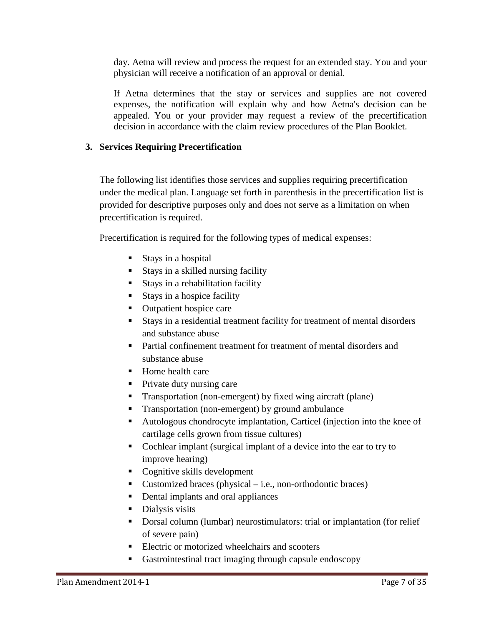day. Aetna will review and process the request for an extended stay. You and your physician will receive a notification of an approval or denial.

If Aetna determines that the stay or services and supplies are not covered expenses, the notification will explain why and how Aetna's decision can be appealed. You or your provider may request a review of the precertification decision in accordance with the claim review procedures of the Plan Booklet.

## **3. Services Requiring Precertification**

The following list identifies those services and supplies requiring precertification under the medical plan. Language set forth in parenthesis in the precertification list is provided for descriptive purposes only and does not serve as a limitation on when precertification is required.

Precertification is required for the following types of medical expenses:

- Stays in a hospital
- Stays in a skilled nursing facility
- Stays in a rehabilitation facility
- $\blacksquare$  Stays in a hospice facility
- Outpatient hospice care
- Stays in a residential treatment facility for treatment of mental disorders and substance abuse
- Partial confinement treatment for treatment of mental disorders and substance abuse
- Home health care
- Private duty nursing care
- Transportation (non-emergent) by fixed wing aircraft (plane)
- **Transportation (non-emergent) by ground ambulance**
- Autologous chondrocyte implantation, Carticel (injection into the knee of cartilage cells grown from tissue cultures)
- Cochlear implant (surgical implant of a device into the ear to try to improve hearing)
- Cognitive skills development
- Customized braces (physical  $-$  i.e., non-orthodontic braces)
- Dental implants and oral appliances
- Dialysis visits
- Dorsal column (lumbar) neurostimulators: trial or implantation (for relief of severe pain)
- Electric or motorized wheelchairs and scooters
- Gastrointestinal tract imaging through capsule endoscopy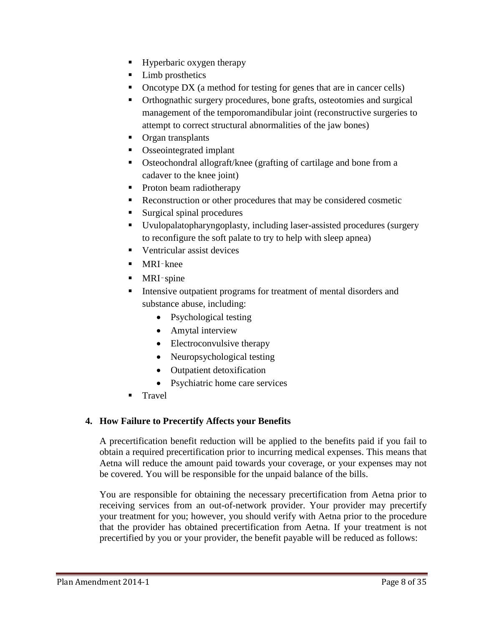- **Hyperbaric oxygen therapy**
- Limb prosthetics
- Oncotype DX (a method for testing for genes that are in cancer cells)
- Orthognathic surgery procedures, bone grafts, osteotomies and surgical management of the temporomandibular joint (reconstructive surgeries to attempt to correct structural abnormalities of the jaw bones)
- **C**rgan transplants
- Osseointegrated implant
- Osteochondral allograft/knee (grafting of cartilage and bone from a cadaver to the knee joint)
- Proton beam radiotherapy
- Reconstruction or other procedures that may be considered cosmetic
- Surgical spinal procedures
- Uvulopalatopharyngoplasty, including laser-assisted procedures (surgery to reconfigure the soft palate to try to help with sleep apnea)
- Ventricular assist devices
- MRI-knee
- $\blacksquare$  MRI-spine
- Intensive outpatient programs for treatment of mental disorders and substance abuse, including:
	- Psychological testing
	- Amytal interview
	- Electroconvulsive therapy
	- Neuropsychological testing
	- Outpatient detoxification
	- Psychiatric home care services
- Travel

## **4. How Failure to Precertify Affects your Benefits**

A precertification benefit reduction will be applied to the benefits paid if you fail to obtain a required precertification prior to incurring medical expenses. This means that Aetna will reduce the amount paid towards your coverage, or your expenses may not be covered. You will be responsible for the unpaid balance of the bills.

You are responsible for obtaining the necessary precertification from Aetna prior to receiving services from an out-of-network provider. Your provider may precertify your treatment for you; however, you should verify with Aetna prior to the procedure that the provider has obtained precertification from Aetna. If your treatment is not precertified by you or your provider, the benefit payable will be reduced as follows: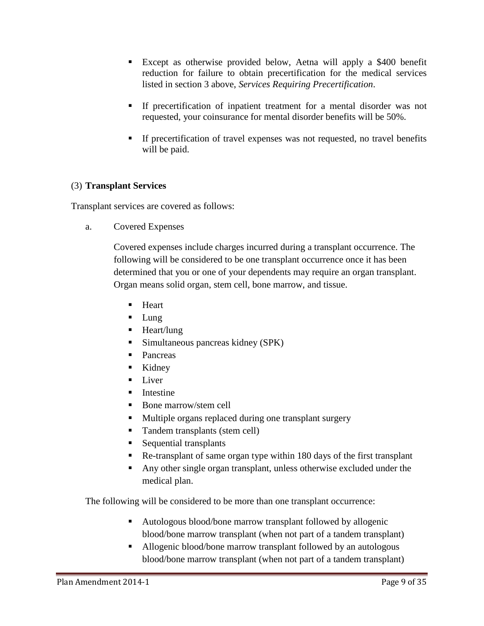- Except as otherwise provided below, Aetna will apply a \$400 benefit reduction for failure to obtain precertification for the medical services listed in section 3 above, *Services Requiring Precertification*.
- If precertification of inpatient treatment for a mental disorder was not requested, your coinsurance for mental disorder benefits will be 50%.
- If precertification of travel expenses was not requested, no travel benefits will be paid.

# (3) **Transplant Services**

Transplant services are covered as follows:

a. Covered Expenses

Covered expenses include charges incurred during a transplant occurrence. The following will be considered to be one transplant occurrence once it has been determined that you or one of your dependents may require an organ transplant. Organ means solid organ, stem cell, bone marrow, and tissue.

- Heart
- $\blacksquare$  Lung
- Heart/lung
- Simultaneous pancreas kidney (SPK)
- Pancreas
- Kidney
- $\blacksquare$  Liver
- $\blacksquare$  Intestine
- Bone marrow/stem cell
- **Multiple organs replaced during one transplant surgery**
- Tandem transplants (stem cell)
- **Sequential transplants**
- Re-transplant of same organ type within 180 days of the first transplant
- Any other single organ transplant, unless otherwise excluded under the medical plan.

The following will be considered to be more than one transplant occurrence:

- Autologous blood/bone marrow transplant followed by allogenic blood/bone marrow transplant (when not part of a tandem transplant)
- Allogenic blood/bone marrow transplant followed by an autologous blood/bone marrow transplant (when not part of a tandem transplant)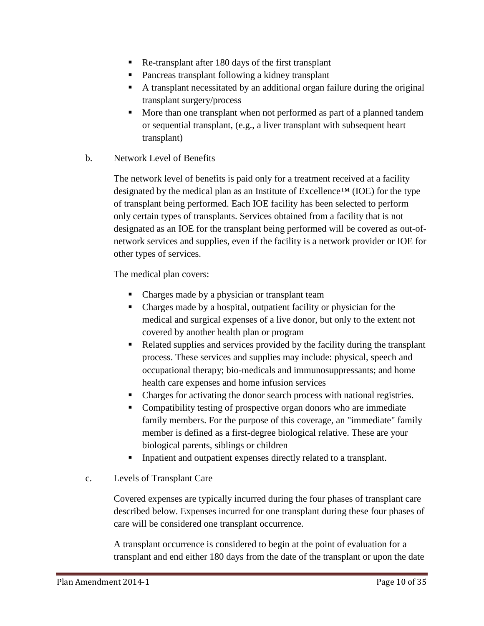- Re-transplant after 180 days of the first transplant
- Pancreas transplant following a kidney transplant
- A transplant necessitated by an additional organ failure during the original transplant surgery/process
- More than one transplant when not performed as part of a planned tandem or sequential transplant, (e.g., a liver transplant with subsequent heart transplant)

### b. Network Level of Benefits

The network level of benefits is paid only for a treatment received at a facility designated by the medical plan as an Institute of Excellence™ (IOE) for the type of transplant being performed. Each IOE facility has been selected to perform only certain types of transplants. Services obtained from a facility that is not designated as an IOE for the transplant being performed will be covered as out-ofnetwork services and supplies, even if the facility is a network provider or IOE for other types of services.

The medical plan covers:

- Charges made by a physician or transplant team
- Charges made by a hospital, outpatient facility or physician for the medical and surgical expenses of a live donor, but only to the extent not covered by another health plan or program
- Related supplies and services provided by the facility during the transplant process. These services and supplies may include: physical, speech and occupational therapy; bio-medicals and immunosuppressants; and home health care expenses and home infusion services
- Charges for activating the donor search process with national registries.
- Compatibility testing of prospective organ donors who are immediate family members. For the purpose of this coverage, an "immediate" family member is defined as a first-degree biological relative. These are your biological parents, siblings or children
- Inpatient and outpatient expenses directly related to a transplant.

## c. Levels of Transplant Care

Covered expenses are typically incurred during the four phases of transplant care described below. Expenses incurred for one transplant during these four phases of care will be considered one transplant occurrence.

A transplant occurrence is considered to begin at the point of evaluation for a transplant and end either 180 days from the date of the transplant or upon the date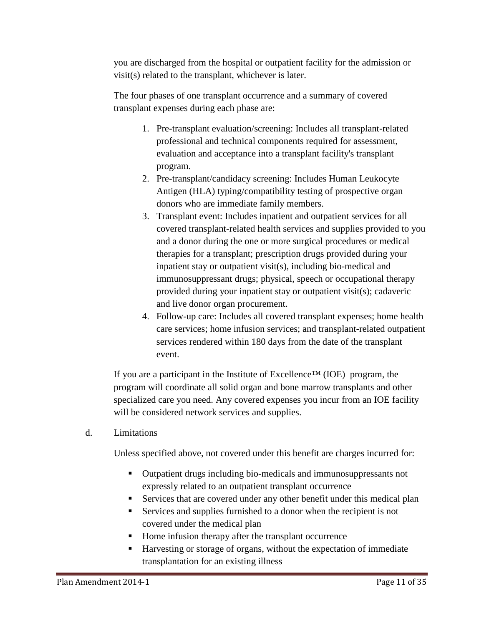you are discharged from the hospital or outpatient facility for the admission or visit(s) related to the transplant, whichever is later.

The four phases of one transplant occurrence and a summary of covered transplant expenses during each phase are:

- 1. Pre-transplant evaluation/screening: Includes all transplant-related professional and technical components required for assessment, evaluation and acceptance into a transplant facility's transplant program.
- 2. Pre-transplant/candidacy screening: Includes Human Leukocyte Antigen (HLA) typing/compatibility testing of prospective organ donors who are immediate family members.
- 3. Transplant event: Includes inpatient and outpatient services for all covered transplant-related health services and supplies provided to you and a donor during the one or more surgical procedures or medical therapies for a transplant; prescription drugs provided during your inpatient stay or outpatient visit(s), including bio-medical and immunosuppressant drugs; physical, speech or occupational therapy provided during your inpatient stay or outpatient visit(s); cadaveric and live donor organ procurement.
- 4. Follow-up care: Includes all covered transplant expenses; home health care services; home infusion services; and transplant-related outpatient services rendered within 180 days from the date of the transplant event.

If you are a participant in the Institute of Excellence<sup>TM</sup> (IOE) program, the program will coordinate all solid organ and bone marrow transplants and other specialized care you need. Any covered expenses you incur from an IOE facility will be considered network services and supplies.

d. Limitations

Unless specified above, not covered under this benefit are charges incurred for:

- Outpatient drugs including bio-medicals and immunosuppressants not expressly related to an outpatient transplant occurrence
- Services that are covered under any other benefit under this medical plan
- Services and supplies furnished to a donor when the recipient is not covered under the medical plan
- Home infusion therapy after the transplant occurrence
- Harvesting or storage of organs, without the expectation of immediate transplantation for an existing illness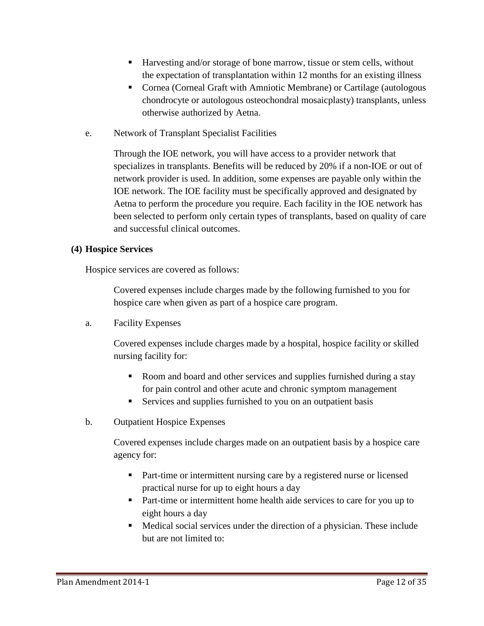- Harvesting and/or storage of bone marrow, tissue or stem cells, without the expectation of transplantation within 12 months for an existing illness
- Cornea (Corneal Graft with Amniotic Membrane) or Cartilage (autologous chondrocyte or autologous osteochondral mosaicplasty) transplants, unless otherwise authorized by Aetna.
- e. Network of Transplant Specialist Facilities

Through the IOE network, you will have access to a provider network that specializes in transplants. Benefits will be reduced by 20% if a non-IOE or out of network provider is used. In addition, some expenses are payable only within the IOE network. The IOE facility must be specifically approved and designated by Aetna to perform the procedure you require. Each facility in the IOE network has been selected to perform only certain types of transplants, based on quality of care and successful clinical outcomes.

## **(4) Hospice Services**

Hospice services are covered as follows:

Covered expenses include charges made by the following furnished to you for hospice care when given as part of a hospice care program.

a. Facility Expenses

Covered expenses include charges made by a hospital, hospice facility or skilled nursing facility for:

- Room and board and other services and supplies furnished during a stay for pain control and other acute and chronic symptom management
- Services and supplies furnished to you on an outpatient basis
- b. Outpatient Hospice Expenses

Covered expenses include charges made on an outpatient basis by a hospice care agency for:

- Part-time or intermittent nursing care by a registered nurse or licensed practical nurse for up to eight hours a day
- Part-time or intermittent home health aide services to care for you up to eight hours a day
- Medical social services under the direction of a physician. These include but are not limited to: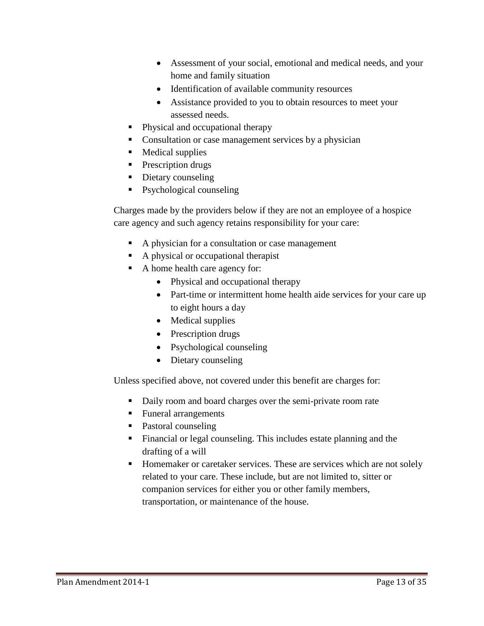- Assessment of your social, emotional and medical needs, and your home and family situation
- Identification of available community resources
- Assistance provided to you to obtain resources to meet your assessed needs.
- Physical and occupational therapy
- Consultation or case management services by a physician
- Medical supplies
- **Prescription drugs**
- Dietary counseling
- Psychological counseling

Charges made by the providers below if they are not an employee of a hospice care agency and such agency retains responsibility for your care:

- A physician for a consultation or case management
- A physical or occupational therapist
- A home health care agency for:
	- Physical and occupational therapy
	- Part-time or intermittent home health aide services for your care up to eight hours a day
	- Medical supplies
	- Prescription drugs
	- Psychological counseling
	- Dietary counseling

Unless specified above, not covered under this benefit are charges for:

- Daily room and board charges over the semi-private room rate
- Funeral arrangements
- Pastoral counseling
- Financial or legal counseling. This includes estate planning and the drafting of a will
- **Homemaker or caretaker services. These are services which are not solely** related to your care. These include, but are not limited to, sitter or companion services for either you or other family members, transportation, or maintenance of the house.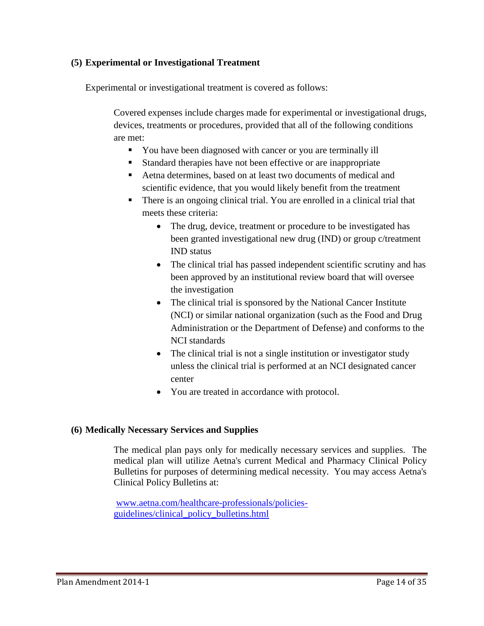## **(5) Experimental or Investigational Treatment**

Experimental or investigational treatment is covered as follows:

Covered expenses include charges made for experimental or investigational drugs, devices, treatments or procedures, provided that all of the following conditions are met:

- You have been diagnosed with cancer or you are terminally ill
- Standard therapies have not been effective or are inappropriate
- Aetna determines, based on at least two documents of medical and scientific evidence, that you would likely benefit from the treatment
- There is an ongoing clinical trial. You are enrolled in a clinical trial that meets these criteria:
	- The drug, device, treatment or procedure to be investigated has been granted investigational new drug (IND) or group c/treatment IND status
	- The clinical trial has passed independent scientific scrutiny and has been approved by an institutional review board that will oversee the investigation
	- The clinical trial is sponsored by the National Cancer Institute (NCI) or similar national organization (such as the Food and Drug Administration or the Department of Defense) and conforms to the NCI standards
	- The clinical trial is not a single institution or investigator study unless the clinical trial is performed at an NCI designated cancer center
	- You are treated in accordance with protocol.

## **(6) Medically Necessary Services and Supplies**

The medical plan pays only for medically necessary services and supplies. The medical plan will utilize Aetna's current Medical and Pharmacy Clinical Policy Bulletins for purposes of determining medical necessity. You may access Aetna's Clinical Policy Bulletins at:

[www.aetna.com/healthcare-professionals/policies](http://www.aetna.com/healthcare-professionals/policies-guidelines/clinical_policy_bulletins.html)[guidelines/clinical\\_policy\\_bulletins.html](http://www.aetna.com/healthcare-professionals/policies-guidelines/clinical_policy_bulletins.html)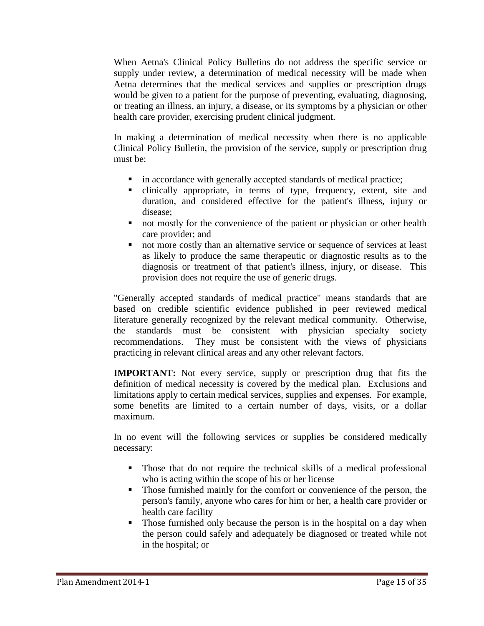When Aetna's Clinical Policy Bulletins do not address the specific service or supply under review, a determination of medical necessity will be made when Aetna determines that the medical services and supplies or prescription drugs would be given to a patient for the purpose of preventing, evaluating, diagnosing, or treating an illness, an injury, a disease, or its symptoms by a physician or other health care provider, exercising prudent clinical judgment.

In making a determination of medical necessity when there is no applicable Clinical Policy Bulletin, the provision of the service, supply or prescription drug must be:

- $\blacksquare$  in accordance with generally accepted standards of medical practice;
- clinically appropriate, in terms of type, frequency, extent, site and duration, and considered effective for the patient's illness, injury or disease;
- not mostly for the convenience of the patient or physician or other health care provider; and
- not more costly than an alternative service or sequence of services at least as likely to produce the same therapeutic or diagnostic results as to the diagnosis or treatment of that patient's illness, injury, or disease. This provision does not require the use of generic drugs.

"Generally accepted standards of medical practice" means standards that are based on credible scientific evidence published in peer reviewed medical literature generally recognized by the relevant medical community. Otherwise, the standards must be consistent with physician specialty society recommendations. They must be consistent with the views of physicians practicing in relevant clinical areas and any other relevant factors.

**IMPORTANT:** Not every service, supply or prescription drug that fits the definition of medical necessity is covered by the medical plan. Exclusions and limitations apply to certain medical services, supplies and expenses. For example, some benefits are limited to a certain number of days, visits, or a dollar maximum.

In no event will the following services or supplies be considered medically necessary:

- Those that do not require the technical skills of a medical professional who is acting within the scope of his or her license
- Those furnished mainly for the comfort or convenience of the person, the person's family, anyone who cares for him or her, a health care provider or health care facility
- Those furnished only because the person is in the hospital on a day when the person could safely and adequately be diagnosed or treated while not in the hospital; or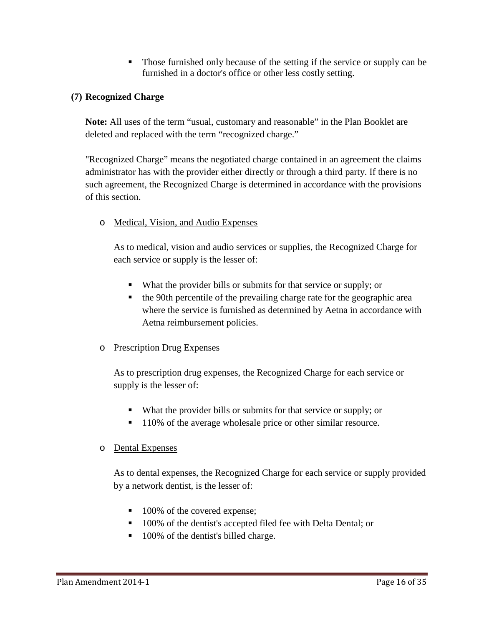Those furnished only because of the setting if the service or supply can be furnished in a doctor's office or other less costly setting.

# **(7) Recognized Charge**

**Note:** All uses of the term "usual, customary and reasonable" in the Plan Booklet are deleted and replaced with the term "recognized charge."

"Recognized Charge" means the negotiated charge contained in an agreement the claims administrator has with the provider either directly or through a third party. If there is no such agreement, the Recognized Charge is determined in accordance with the provisions of this section.

# o Medical, Vision, and Audio Expenses

As to medical, vision and audio services or supplies, the Recognized Charge for each service or supply is the lesser of:

- What the provider bills or submits for that service or supply; or
- the 90th percentile of the prevailing charge rate for the geographic area where the service is furnished as determined by Aetna in accordance with Aetna reimbursement policies.

## o Prescription Drug Expenses

As to prescription drug expenses, the Recognized Charge for each service or supply is the lesser of:

- What the provider bills or submits for that service or supply; or
- 110% of the average wholesale price or other similar resource.

## o Dental Expenses

As to dental expenses, the Recognized Charge for each service or supply provided by a network dentist, is the lesser of:

- 100% of the covered expense;
- <sup>100%</sup> of the dentist's accepted filed fee with Delta Dental; or
- 100% of the dentist's billed charge.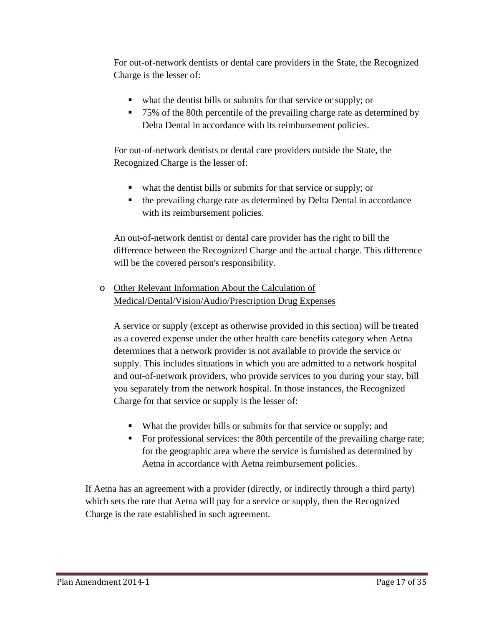For out-of-network dentists or dental care providers in the State, the Recognized Charge is the lesser of:

- what the dentist bills or submits for that service or supply; or
- 75% of the 80th percentile of the prevailing charge rate as determined by Delta Dental in accordance with its reimbursement policies.

For out-of-network dentists or dental care providers outside the State, the Recognized Charge is the lesser of:

- what the dentist bills or submits for that service or supply; or
- the prevailing charge rate as determined by Delta Dental in accordance with its reimbursement policies.

An out-of-network dentist or dental care provider has the right to bill the difference between the Recognized Charge and the actual charge. This difference will be the covered person's responsibility.

o Other Relevant Information About the Calculation of Medical/Dental/Vision/Audio/Prescription Drug Expenses

A service or supply (except as otherwise provided in this section) will be treated as a covered expense under the other health care benefits category when Aetna determines that a network provider is not available to provide the service or supply. This includes situations in which you are admitted to a network hospital and out-of-network providers, who provide services to you during your stay, bill you separately from the network hospital. In those instances, the Recognized Charge for that service or supply is the lesser of:

- What the provider bills or submits for that service or supply; and
- For professional services: the 80th percentile of the prevailing charge rate; for the geographic area where the service is furnished as determined by Aetna in accordance with Aetna reimbursement policies.

If Aetna has an agreement with a provider (directly, or indirectly through a third party) which sets the rate that Aetna will pay for a service or supply, then the Recognized Charge is the rate established in such agreement.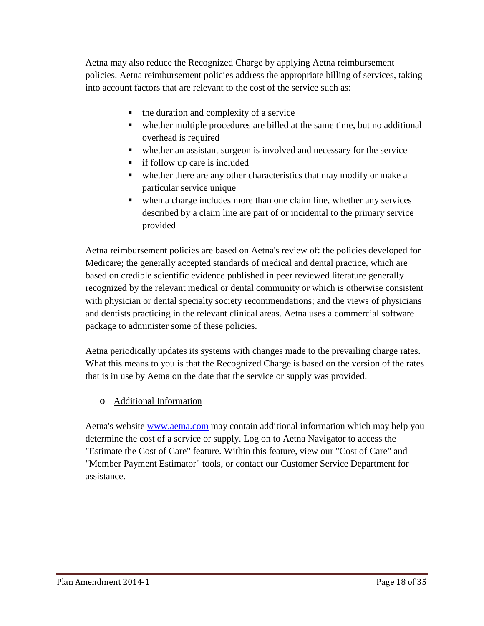Aetna may also reduce the Recognized Charge by applying Aetna reimbursement policies. Aetna reimbursement policies address the appropriate billing of services, taking into account factors that are relevant to the cost of the service such as:

- the duration and complexity of a service
- whether multiple procedures are billed at the same time, but no additional overhead is required
- whether an assistant surgeon is involved and necessary for the service
- if follow up care is included
- whether there are any other characteristics that may modify or make a particular service unique
- when a charge includes more than one claim line, whether any services described by a claim line are part of or incidental to the primary service provided

Aetna reimbursement policies are based on Aetna's review of: the policies developed for Medicare; the generally accepted standards of medical and dental practice, which are based on credible scientific evidence published in peer reviewed literature generally recognized by the relevant medical or dental community or which is otherwise consistent with physician or dental specialty society recommendations; and the views of physicians and dentists practicing in the relevant clinical areas. Aetna uses a commercial software package to administer some of these policies.

Aetna periodically updates its systems with changes made to the prevailing charge rates. What this means to you is that the Recognized Charge is based on the version of the rates that is in use by Aetna on the date that the service or supply was provided.

o Additional Information

Aetna's website [www.aetna.com](http://www.aetna.com/) may contain additional information which may help you determine the cost of a service or supply. Log on to Aetna Navigator to access the "Estimate the Cost of Care" feature. Within this feature, view our "Cost of Care" and "Member Payment Estimator" tools, or contact our Customer Service Department for assistance.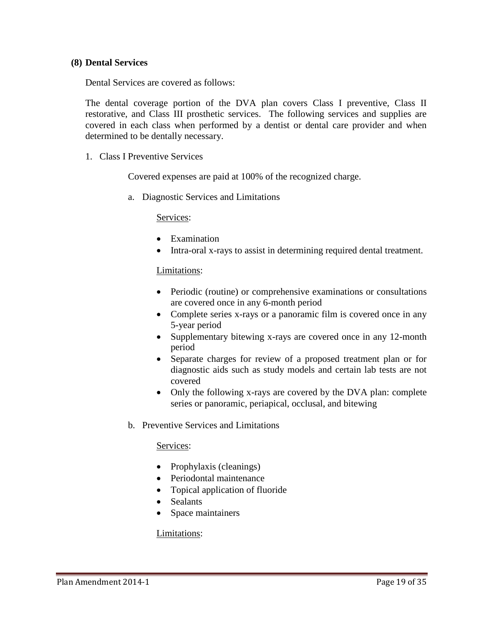### **(8) Dental Services**

Dental Services are covered as follows:

The dental coverage portion of the DVA plan covers Class I preventive, Class II restorative, and Class III prosthetic services. The following services and supplies are covered in each class when performed by a dentist or dental care provider and when determined to be dentally necessary.

1. Class I Preventive Services

Covered expenses are paid at 100% of the recognized charge.

a. Diagnostic Services and Limitations

Services:

- Examination
- Intra-oral x-rays to assist in determining required dental treatment.

#### Limitations:

- Periodic (routine) or comprehensive examinations or consultations are covered once in any 6-month period
- Complete series x-rays or a panoramic film is covered once in any 5-year period
- Supplementary bitewing x-rays are covered once in any 12-month period
- Separate charges for review of a proposed treatment plan or for diagnostic aids such as study models and certain lab tests are not covered
- Only the following x-rays are covered by the DVA plan: complete series or panoramic, periapical, occlusal, and bitewing
- b. Preventive Services and Limitations

#### Services:

- Prophylaxis (cleanings)
- Periodontal maintenance
- Topical application of fluoride
- Sealants
- Space maintainers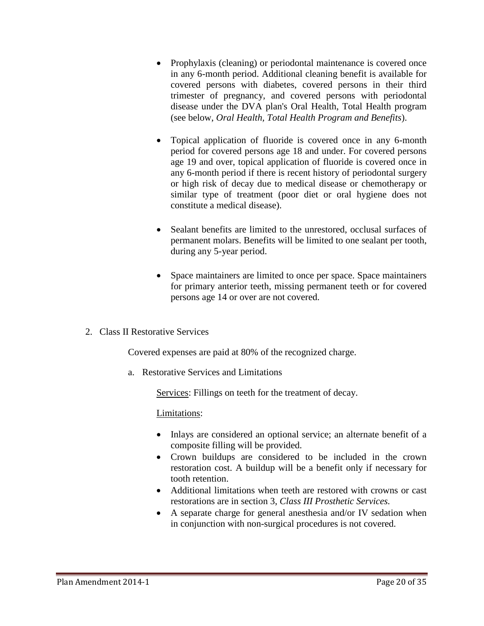- Prophylaxis (cleaning) or periodontal maintenance is covered once in any 6-month period. Additional cleaning benefit is available for covered persons with diabetes, covered persons in their third trimester of pregnancy, and covered persons with periodontal disease under the DVA plan's Oral Health, Total Health program (see below, *Oral Health, Total Health Program and Benefits*).
- Topical application of fluoride is covered once in any 6-month period for covered persons age 18 and under. For covered persons age 19 and over, topical application of fluoride is covered once in any 6-month period if there is recent history of periodontal surgery or high risk of decay due to medical disease or chemotherapy or similar type of treatment (poor diet or oral hygiene does not constitute a medical disease).
- Sealant benefits are limited to the unrestored, occlusal surfaces of permanent molars. Benefits will be limited to one sealant per tooth, during any 5-year period.
- Space maintainers are limited to once per space. Space maintainers for primary anterior teeth, missing permanent teeth or for covered persons age 14 or over are not covered.
- 2. Class II Restorative Services

Covered expenses are paid at 80% of the recognized charge.

a. Restorative Services and Limitations

Services: Fillings on teeth for the treatment of decay.

- Inlays are considered an optional service; an alternate benefit of a composite filling will be provided.
- Crown buildups are considered to be included in the crown restoration cost. A buildup will be a benefit only if necessary for tooth retention.
- Additional limitations when teeth are restored with crowns or cast restorations are in section 3, *Class III Prosthetic Services.*
- A separate charge for general anesthesia and/or IV sedation when in conjunction with non-surgical procedures is not covered.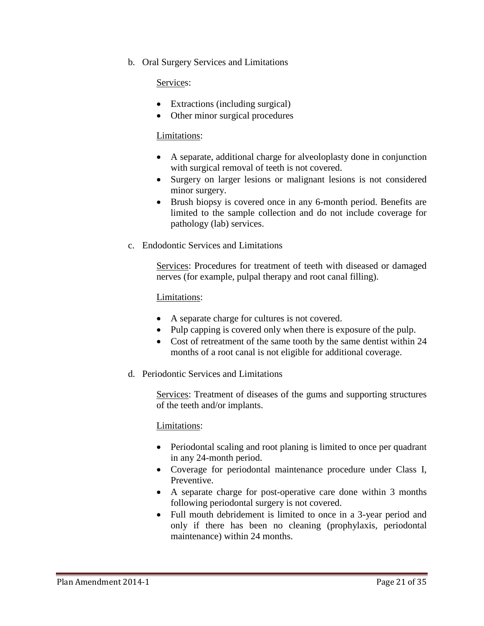b. Oral Surgery Services and Limitations

### Services:

- Extractions (including surgical)
- Other minor surgical procedures

### Limitations:

- A separate, additional charge for alveoloplasty done in conjunction with surgical removal of teeth is not covered.
- Surgery on larger lesions or malignant lesions is not considered minor surgery.
- Brush biopsy is covered once in any 6-month period. Benefits are limited to the sample collection and do not include coverage for pathology (lab) services.
- c. Endodontic Services and Limitations

Services: Procedures for treatment of teeth with diseased or damaged nerves (for example, pulpal therapy and root canal filling).

### Limitations:

- A separate charge for cultures is not covered.
- Pulp capping is covered only when there is exposure of the pulp.
- Cost of retreatment of the same tooth by the same dentist within 24 months of a root canal is not eligible for additional coverage.
- d. Periodontic Services and Limitations

Services: Treatment of diseases of the gums and supporting structures of the teeth and/or implants.

- Periodontal scaling and root planing is limited to once per quadrant in any 24-month period.
- Coverage for periodontal maintenance procedure under Class I, Preventive.
- A separate charge for post-operative care done within 3 months following periodontal surgery is not covered.
- Full mouth debridement is limited to once in a 3-year period and only if there has been no cleaning (prophylaxis, periodontal maintenance) within 24 months.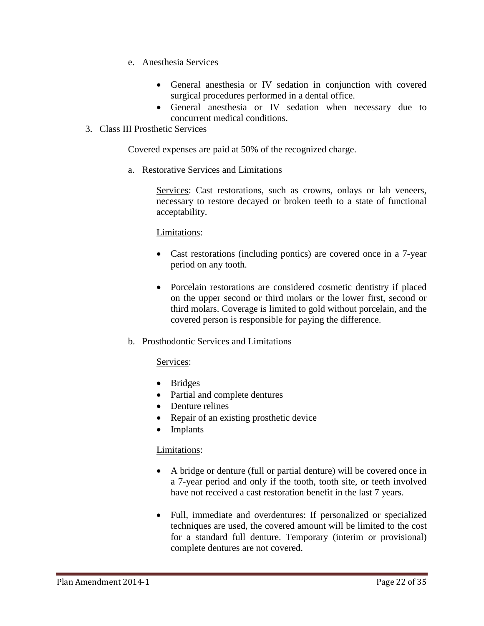- e. Anesthesia Services
	- General anesthesia or IV sedation in conjunction with covered surgical procedures performed in a dental office.
	- General anesthesia or IV sedation when necessary due to concurrent medical conditions.
- 3. Class III Prosthetic Services

Covered expenses are paid at 50% of the recognized charge.

a. Restorative Services and Limitations

Services: Cast restorations, such as crowns, onlays or lab veneers, necessary to restore decayed or broken teeth to a state of functional acceptability.

### Limitations:

- Cast restorations (including pontics) are covered once in a 7-year period on any tooth.
- Porcelain restorations are considered cosmetic dentistry if placed on the upper second or third molars or the lower first, second or third molars. Coverage is limited to gold without porcelain, and the covered person is responsible for paying the difference.
- b. Prosthodontic Services and Limitations

### Services:

- Bridges
- Partial and complete dentures
- Denture relines
- Repair of an existing prosthetic device
- Implants

- A bridge or denture (full or partial denture) will be covered once in a 7-year period and only if the tooth, tooth site, or teeth involved have not received a cast restoration benefit in the last 7 years.
- Full, immediate and overdentures: If personalized or specialized techniques are used, the covered amount will be limited to the cost for a standard full denture. Temporary (interim or provisional) complete dentures are not covered.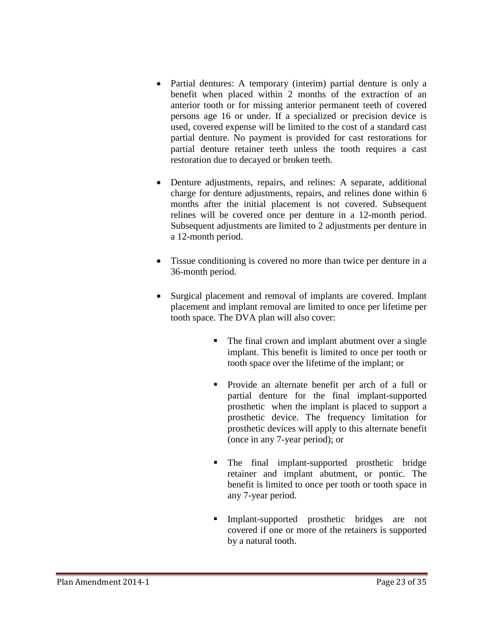- Partial dentures: A temporary (interim) partial denture is only a benefit when placed within 2 months of the extraction of an anterior tooth or for missing anterior permanent teeth of covered persons age 16 or under. If a specialized or precision device is used, covered expense will be limited to the cost of a standard cast partial denture. No payment is provided for cast restorations for partial denture retainer teeth unless the tooth requires a cast restoration due to decayed or broken teeth.
- Denture adjustments, repairs, and relines: A separate, additional charge for denture adjustments, repairs, and relines done within 6 months after the initial placement is not covered. Subsequent relines will be covered once per denture in a 12-month period. Subsequent adjustments are limited to 2 adjustments per denture in a 12-month period.
- Tissue conditioning is covered no more than twice per denture in a 36-month period.
- Surgical placement and removal of implants are covered. Implant placement and implant removal are limited to once per lifetime per tooth space. The DVA plan will also cover:
	- The final crown and implant abutment over a single implant. This benefit is limited to once per tooth or tooth space over the lifetime of the implant; or
	- Provide an alternate benefit per arch of a full or partial denture for the final implant-supported prosthetic when the implant is placed to support a prosthetic device. The frequency limitation for prosthetic devices will apply to this alternate benefit (once in any 7-year period); or
	- The final implant-supported prosthetic bridge retainer and implant abutment, or pontic. The benefit is limited to once per tooth or tooth space in any 7-year period.
	- Implant-supported prosthetic bridges are not covered if one or more of the retainers is supported by a natural tooth.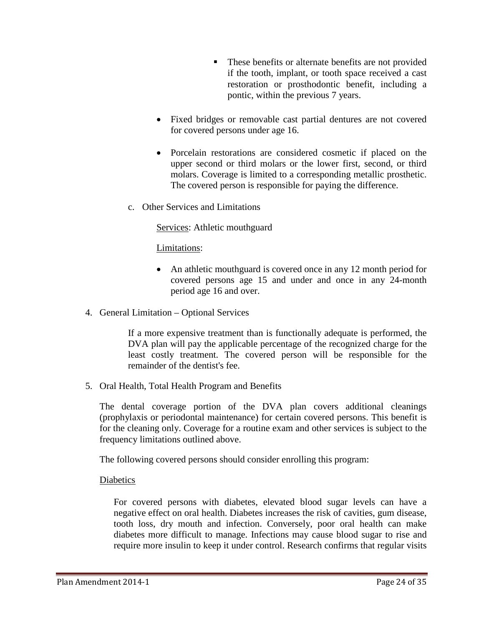- **These benefits or alternate benefits are not provided** if the tooth, implant, or tooth space received a cast restoration or prosthodontic benefit, including a pontic, within the previous 7 years.
- Fixed bridges or removable cast partial dentures are not covered for covered persons under age 16.
- Porcelain restorations are considered cosmetic if placed on the upper second or third molars or the lower first, second, or third molars. Coverage is limited to a corresponding metallic prosthetic. The covered person is responsible for paying the difference.
- c. Other Services and Limitations

Services: Athletic mouthguard

Limitations:

- An athletic mouthguard is covered once in any 12 month period for covered persons age 15 and under and once in any 24-month period age 16 and over.
- 4. General Limitation Optional Services

If a more expensive treatment than is functionally adequate is performed, the DVA plan will pay the applicable percentage of the recognized charge for the least costly treatment. The covered person will be responsible for the remainder of the dentist's fee.

5. Oral Health, Total Health Program and Benefits

The dental coverage portion of the DVA plan covers additional cleanings (prophylaxis or periodontal maintenance) for certain covered persons. This benefit is for the cleaning only. Coverage for a routine exam and other services is subject to the frequency limitations outlined above.

The following covered persons should consider enrolling this program:

**Diabetics** 

For covered persons with diabetes, elevated blood sugar levels can have a negative effect on oral health. Diabetes increases the risk of cavities, gum disease, tooth loss, dry mouth and infection. Conversely, poor oral health can make diabetes more difficult to manage. Infections may cause blood sugar to rise and require more insulin to keep it under control. Research confirms that regular visits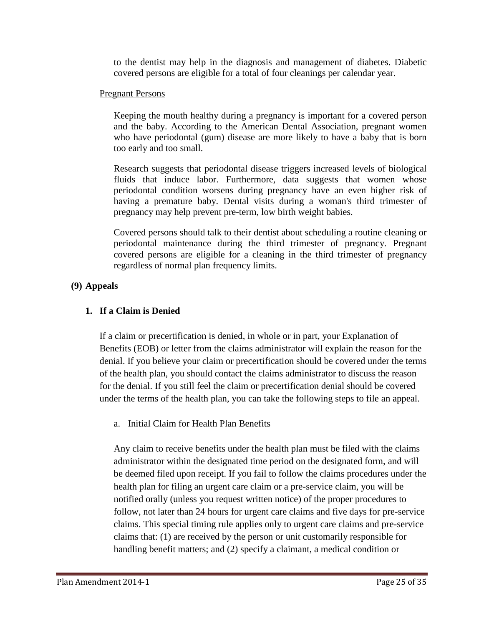to the dentist may help in the diagnosis and management of diabetes. Diabetic covered persons are eligible for a total of four cleanings per calendar year.

## Pregnant Persons

Keeping the mouth healthy during a pregnancy is important for a covered person and the baby. According to the American Dental Association, pregnant women who have periodontal (gum) disease are more likely to have a baby that is born too early and too small.

Research suggests that periodontal disease triggers increased levels of biological fluids that induce labor. Furthermore, data suggests that women whose periodontal condition worsens during pregnancy have an even higher risk of having a premature baby. Dental visits during a woman's third trimester of pregnancy may help prevent pre-term, low birth weight babies.

Covered persons should talk to their dentist about scheduling a routine cleaning or periodontal maintenance during the third trimester of pregnancy. Pregnant covered persons are eligible for a cleaning in the third trimester of pregnancy regardless of normal plan frequency limits.

# **(9) Appeals**

# **1. If a Claim is Denied**

If a claim or precertification is denied, in whole or in part, your Explanation of Benefits (EOB) or letter from the claims administrator will explain the reason for the denial. If you believe your claim or precertification should be covered under the terms of the health plan, you should contact the claims administrator to discuss the reason for the denial. If you still feel the claim or precertification denial should be covered under the terms of the health plan, you can take the following steps to file an appeal.

a. Initial Claim for Health Plan Benefits

Any claim to receive benefits under the health plan must be filed with the claims administrator within the designated time period on the designated form, and will be deemed filed upon receipt. If you fail to follow the claims procedures under the health plan for filing an urgent care claim or a pre-service claim, you will be notified orally (unless you request written notice) of the proper procedures to follow, not later than 24 hours for urgent care claims and five days for pre-service claims. This special timing rule applies only to urgent care claims and pre-service claims that: (1) are received by the person or unit customarily responsible for handling benefit matters; and (2) specify a claimant, a medical condition or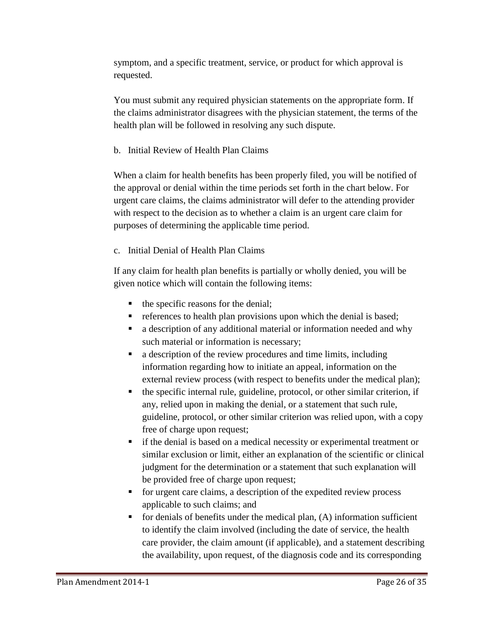symptom, and a specific treatment, service, or product for which approval is requested.

You must submit any required physician statements on the appropriate form. If the claims administrator disagrees with the physician statement, the terms of the health plan will be followed in resolving any such dispute.

## b. Initial Review of Health Plan Claims

When a claim for health benefits has been properly filed, you will be notified of the approval or denial within the time periods set forth in the chart below. For urgent care claims, the claims administrator will defer to the attending provider with respect to the decision as to whether a claim is an urgent care claim for purposes of determining the applicable time period.

# c. Initial Denial of Health Plan Claims

If any claim for health plan benefits is partially or wholly denied, you will be given notice which will contain the following items:

- the specific reasons for the denial;
- references to health plan provisions upon which the denial is based;
- a description of any additional material or information needed and why such material or information is necessary;
- a description of the review procedures and time limits, including information regarding how to initiate an appeal, information on the external review process (with respect to benefits under the medical plan);
- the specific internal rule, guideline, protocol, or other similar criterion, if any, relied upon in making the denial, or a statement that such rule, guideline, protocol, or other similar criterion was relied upon, with a copy free of charge upon request;
- if the denial is based on a medical necessity or experimental treatment or similar exclusion or limit, either an explanation of the scientific or clinical judgment for the determination or a statement that such explanation will be provided free of charge upon request;
- for urgent care claims, a description of the expedited review process applicable to such claims; and
- for denials of benefits under the medical plan, (A) information sufficient to identify the claim involved (including the date of service, the health care provider, the claim amount (if applicable), and a statement describing the availability, upon request, of the diagnosis code and its corresponding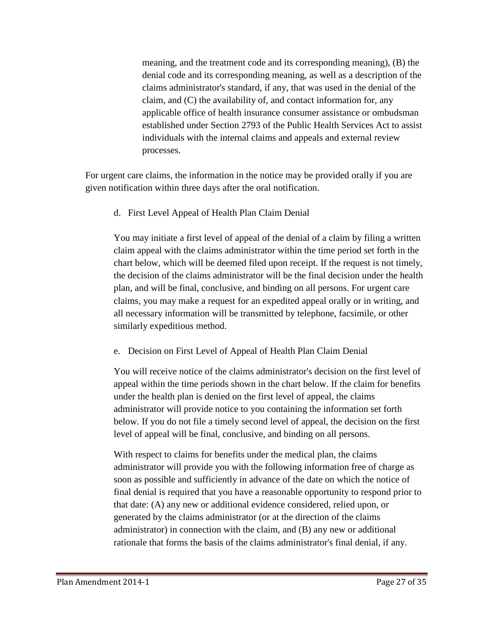meaning, and the treatment code and its corresponding meaning), (B) the denial code and its corresponding meaning, as well as a description of the claims administrator's standard, if any, that was used in the denial of the claim, and (C) the availability of, and contact information for, any applicable office of health insurance consumer assistance or ombudsman established under Section 2793 of the Public Health Services Act to assist individuals with the internal claims and appeals and external review processes.

For urgent care claims, the information in the notice may be provided orally if you are given notification within three days after the oral notification.

d. First Level Appeal of Health Plan Claim Denial

You may initiate a first level of appeal of the denial of a claim by filing a written claim appeal with the claims administrator within the time period set forth in the chart below, which will be deemed filed upon receipt. If the request is not timely, the decision of the claims administrator will be the final decision under the health plan, and will be final, conclusive, and binding on all persons. For urgent care claims, you may make a request for an expedited appeal orally or in writing, and all necessary information will be transmitted by telephone, facsimile, or other similarly expeditious method.

e. Decision on First Level of Appeal of Health Plan Claim Denial

You will receive notice of the claims administrator's decision on the first level of appeal within the time periods shown in the chart below. If the claim for benefits under the health plan is denied on the first level of appeal, the claims administrator will provide notice to you containing the information set forth below. If you do not file a timely second level of appeal, the decision on the first level of appeal will be final, conclusive, and binding on all persons.

With respect to claims for benefits under the medical plan, the claims administrator will provide you with the following information free of charge as soon as possible and sufficiently in advance of the date on which the notice of final denial is required that you have a reasonable opportunity to respond prior to that date: (A) any new or additional evidence considered, relied upon, or generated by the claims administrator (or at the direction of the claims administrator) in connection with the claim, and (B) any new or additional rationale that forms the basis of the claims administrator's final denial, if any.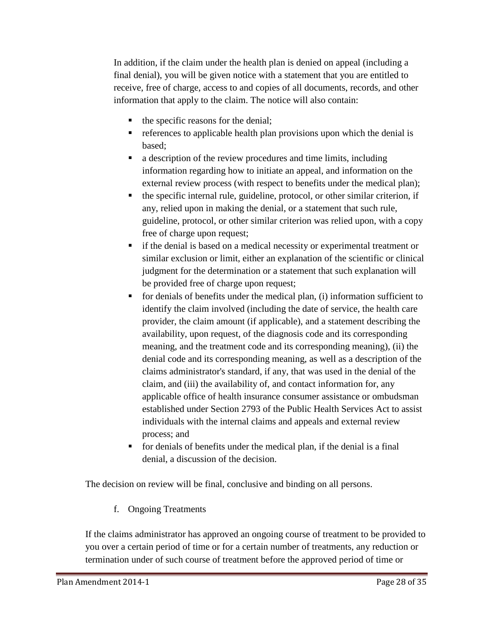In addition, if the claim under the health plan is denied on appeal (including a final denial), you will be given notice with a statement that you are entitled to receive, free of charge, access to and copies of all documents, records, and other information that apply to the claim. The notice will also contain:

- the specific reasons for the denial;
- $\blacksquare$  references to applicable health plan provisions upon which the denial is based;
- a description of the review procedures and time limits, including information regarding how to initiate an appeal, and information on the external review process (with respect to benefits under the medical plan);
- the specific internal rule, guideline, protocol, or other similar criterion, if any, relied upon in making the denial, or a statement that such rule, guideline, protocol, or other similar criterion was relied upon, with a copy free of charge upon request;
- if the denial is based on a medical necessity or experimental treatment or similar exclusion or limit, either an explanation of the scientific or clinical judgment for the determination or a statement that such explanation will be provided free of charge upon request;
- $\blacksquare$  for denials of benefits under the medical plan, (i) information sufficient to identify the claim involved (including the date of service, the health care provider, the claim amount (if applicable), and a statement describing the availability, upon request, of the diagnosis code and its corresponding meaning, and the treatment code and its corresponding meaning), (ii) the denial code and its corresponding meaning, as well as a description of the claims administrator's standard, if any, that was used in the denial of the claim, and (iii) the availability of, and contact information for, any applicable office of health insurance consumer assistance or ombudsman established under Section 2793 of the Public Health Services Act to assist individuals with the internal claims and appeals and external review process; and
- for denials of benefits under the medical plan, if the denial is a final denial, a discussion of the decision.

The decision on review will be final, conclusive and binding on all persons.

f. Ongoing Treatments

If the claims administrator has approved an ongoing course of treatment to be provided to you over a certain period of time or for a certain number of treatments, any reduction or termination under of such course of treatment before the approved period of time or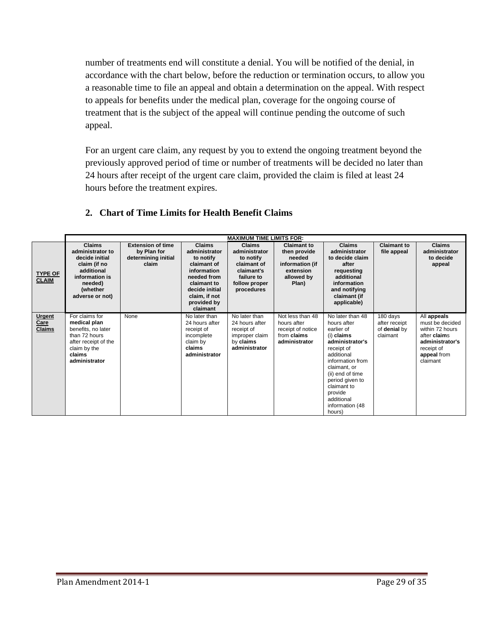number of treatments end will constitute a denial. You will be notified of the denial, in accordance with the chart below, before the reduction or termination occurs, to allow you a reasonable time to file an appeal and obtain a determination on the appeal. With respect to appeals for benefits under the medical plan, coverage for the ongoing course of treatment that is the subject of the appeal will continue pending the outcome of such appeal.

For an urgent care claim, any request by you to extend the ongoing treatment beyond the previously approved period of time or number of treatments will be decided no later than 24 hours after receipt of the urgent care claim, provided the claim is filed at least 24 hours before the treatment expires.

|                                               | <b>MAXIMUM TIME LIMITS FOR:</b>                                                                                                               |                                                                         |                                                                                                                                                                       |                                                                                                                       |                                                                                                     |                                                                                                                                                                                                                                                            |                                                       |                                                                                                                               |
|-----------------------------------------------|-----------------------------------------------------------------------------------------------------------------------------------------------|-------------------------------------------------------------------------|-----------------------------------------------------------------------------------------------------------------------------------------------------------------------|-----------------------------------------------------------------------------------------------------------------------|-----------------------------------------------------------------------------------------------------|------------------------------------------------------------------------------------------------------------------------------------------------------------------------------------------------------------------------------------------------------------|-------------------------------------------------------|-------------------------------------------------------------------------------------------------------------------------------|
| <b>TYPE OF</b><br><b>CLAIM</b>                | <b>Claims</b><br>administrator to<br>decide initial<br>claim (if no<br>additional<br>information is<br>needed)<br>(whether<br>adverse or not) | <b>Extension of time</b><br>by Plan for<br>determining initial<br>claim | <b>Claims</b><br>administrator<br>to notify<br>claimant of<br>information<br>needed from<br>claimant to<br>decide initial<br>claim, if not<br>provided by<br>claimant | <b>Claims</b><br>administrator<br>to notify<br>claimant of<br>claimant's<br>failure to<br>follow proper<br>procedures | <b>Claimant to</b><br>then provide<br>needed<br>information (if<br>extension<br>allowed by<br>Plan) | <b>Claims</b><br>administrator<br>to decide claim<br>after<br>requesting<br>additional<br>information<br>and notifying<br>claimant (if<br>applicable)                                                                                                      | <b>Claimant to</b><br>file appeal                     | <b>Claims</b><br>administrator<br>to decide<br>appeal                                                                         |
| <b>Urgent</b><br><b>Care</b><br><b>Claims</b> | For claims for<br>medical plan<br>benefits, no later<br>than 72 hours<br>after receipt of the<br>claim by the<br>claims<br>administrator      | None                                                                    | No later than<br>24 hours after<br>receipt of<br>incomplete<br>claim by<br>claims<br>administrator                                                                    | No later than<br>24 hours after<br>receipt of<br>improper claim<br>by claims<br>administrator                         | Not less than 48<br>hours after<br>receipt of notice<br>from claims<br>administrator                | No later than 48<br>hours after<br>earlier of<br>(i) claims<br>administrator's<br>receipt of<br>additional<br>information from<br>claimant, or<br>(ii) end of time<br>period given to<br>claimant to<br>provide<br>additional<br>information (48<br>hours) | 180 days<br>after receipt<br>of denial by<br>claimant | All appeals<br>must be decided<br>within 72 hours<br>after claims<br>administrator's<br>receipt of<br>appeal from<br>claimant |

# **2. Chart of Time Limits for Health Benefit Claims**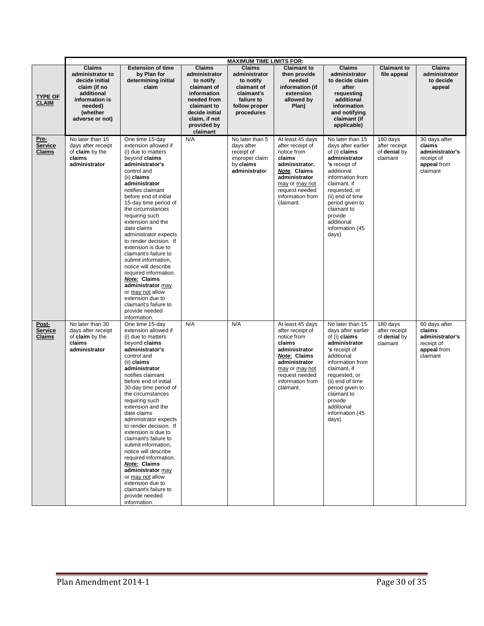|                                   | <b>MAXIMUM TIME LIMITS FOR:</b>                                                                                                               |                                                                                                                                                                                                                                                                                                                                                                                                                                                                                                                                                                                                                       |                                                                                                                                                                       |                                                                                                                       |                                                                                                                                                                                              |                                                                                                                                                                                                                                                                         |                                                       |                                                                                     |
|-----------------------------------|-----------------------------------------------------------------------------------------------------------------------------------------------|-----------------------------------------------------------------------------------------------------------------------------------------------------------------------------------------------------------------------------------------------------------------------------------------------------------------------------------------------------------------------------------------------------------------------------------------------------------------------------------------------------------------------------------------------------------------------------------------------------------------------|-----------------------------------------------------------------------------------------------------------------------------------------------------------------------|-----------------------------------------------------------------------------------------------------------------------|----------------------------------------------------------------------------------------------------------------------------------------------------------------------------------------------|-------------------------------------------------------------------------------------------------------------------------------------------------------------------------------------------------------------------------------------------------------------------------|-------------------------------------------------------|-------------------------------------------------------------------------------------|
| <b>TYPE OF</b><br><b>CLAIM</b>    | <b>Claims</b><br>administrator to<br>decide initial<br>claim (if no<br>additional<br>information is<br>needed)<br>(whether<br>adverse or not) | <b>Extension of time</b><br>by Plan for<br>determining initial<br>claim                                                                                                                                                                                                                                                                                                                                                                                                                                                                                                                                               | <b>Claims</b><br>administrator<br>to notify<br>claimant of<br>information<br>needed from<br>claimant to<br>decide initial<br>claim, if not<br>provided by<br>claimant | <b>Claims</b><br>administrator<br>to notify<br>claimant of<br>claimant's<br>failure to<br>follow proper<br>procedures | <b>Claimant to</b><br>then provide<br>needed<br>information (if<br>extension<br>allowed by<br>Plan)                                                                                          | <b>Claims</b><br>administrator<br>to decide claim<br>after<br>requesting<br>additional<br>information<br>and notifying<br>claimant (if<br>applicable)                                                                                                                   | <b>Claimant to</b><br>file appeal                     | <b>Claims</b><br>administrator<br>to decide<br>appeal                               |
| Pre-<br><b>Service</b><br>Claims  | No later than 15<br>days after receipt<br>of claim by the<br>claims<br>administrator                                                          | One time 15-day<br>extension allowed if<br>(i) due to matters<br>beyond claims<br>administrator's<br>control and<br>(ii) claims<br>administrator<br>notifies claimant<br>before end of initial<br>15-day time period of<br>the circumstances<br>requiring such<br>extension and the<br>date claims<br>administrator expects<br>to render decision. If<br>extension is due to<br>claimant's failure to<br>submit information,<br>notice will describe<br>required information.<br>Note: Claims<br>administrator may<br>or may not allow<br>extension due to<br>claimant's failure to<br>provide needed<br>information. | N/A                                                                                                                                                                   | No later than 5<br>days after<br>receipt of<br>improper claim<br>by claims<br>administrator                           | At least 45 days<br>after receipt of<br>notice from<br>claims<br>administrator.<br><b>Note: Claims</b><br>administrator<br>may or may not<br>request needed<br>information from<br>claimant. | No later than 15<br>days after earlier<br>of (i) claims<br>administrator<br>'s receipt of<br>additional<br>information from<br>claimant, if<br>requested, or<br>(ii) end of time<br>period given to<br>claimant to<br>provide<br>additional<br>information (45<br>days) | 180 days<br>after receipt<br>of denial by<br>claimant | 30 days after<br>claims<br>administrator's<br>receipt of<br>appeal from<br>claimant |
| Post-<br><b>Service</b><br>Claims | No later than 30<br>days after receipt<br>of claim by the<br>claims<br>administrator                                                          | One time 15-day<br>extension allowed if<br>(i) due to matters<br>beyond claims<br>administrator's<br>control and<br>(ii) claims<br>administrator<br>notifies claimant<br>before end of initial<br>30-day time period of<br>the circumstances<br>requiring such<br>extension and the<br>date claims<br>administrator expects<br>to render decision. If<br>extension is due to<br>claimant's failure to<br>submit information.<br>notice will describe<br>required information.<br>Note: Claims<br>administrator may<br>or may not allow<br>extension due to<br>claimant's failure to<br>provide needed<br>information. | N/A                                                                                                                                                                   | N/A                                                                                                                   | At least 45 days<br>after receipt of<br>notice from<br>claims<br>administrator.<br><b>Note: Claims</b><br>administrator<br>may or may not<br>request needed<br>information from<br>claimant. | No later than 15<br>days after earlier<br>of (i) claims<br>administrator<br>'s receipt of<br>additional<br>information from<br>claimant, if<br>requested, or<br>(ii) end of time<br>period given to<br>claimant to<br>provide<br>additional<br>information (45<br>days) | 180 days<br>after receipt<br>of denial by<br>claimant | 60 days after<br>claims<br>administrator's<br>receipt of<br>appeal from<br>claimant |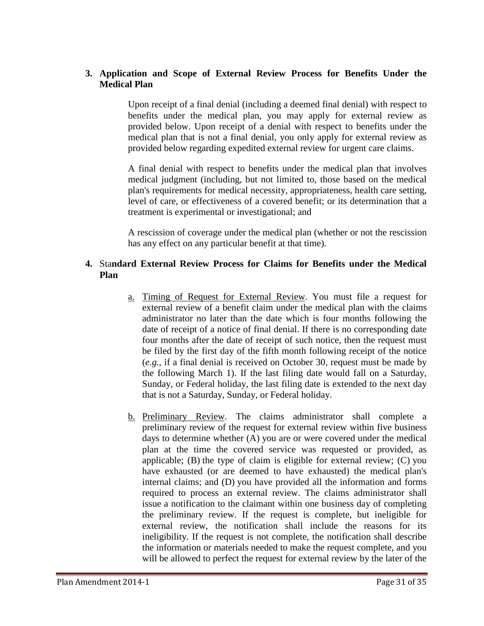## **3. Application and Scope of External Review Process for Benefits Under the Medical Plan**

Upon receipt of a final denial (including a deemed final denial) with respect to benefits under the medical plan, you may apply for external review as provided below. Upon receipt of a denial with respect to benefits under the medical plan that is not a final denial, you only apply for external review as provided below regarding expedited external review for urgent care claims.

A final denial with respect to benefits under the medical plan that involves medical judgment (including, but not limited to, those based on the medical plan's requirements for medical necessity, appropriateness, health care setting, level of care, or effectiveness of a covered benefit; or its determination that a treatment is experimental or investigational; and

A rescission of coverage under the medical plan (whether or not the rescission has any effect on any particular benefit at that time).

# **4.** Sta**ndard External Review Process for Claims for Benefits under the Medical Plan**

- a. Timing of Request for External Review. You must file a request for external review of a benefit claim under the medical plan with the claims administrator no later than the date which is four months following the date of receipt of a notice of final denial. If there is no corresponding date four months after the date of receipt of such notice, then the request must be filed by the first day of the fifth month following receipt of the notice (*e.g.*, if a final denial is received on October 30, request must be made by the following March 1). If the last filing date would fall on a Saturday, Sunday, or Federal holiday, the last filing date is extended to the next day that is not a Saturday, Sunday, or Federal holiday.
- b. Preliminary Review. The claims administrator shall complete a preliminary review of the request for external review within five business days to determine whether (A) you are or were covered under the medical plan at the time the covered service was requested or provided, as applicable; (B) the type of claim is eligible for external review; (C) you have exhausted (or are deemed to have exhausted) the medical plan's internal claims; and (D) you have provided all the information and forms required to process an external review. The claims administrator shall issue a notification to the claimant within one business day of completing the preliminary review. If the request is complete, but ineligible for external review, the notification shall include the reasons for its ineligibility. If the request is not complete, the notification shall describe the information or materials needed to make the request complete, and you will be allowed to perfect the request for external review by the later of the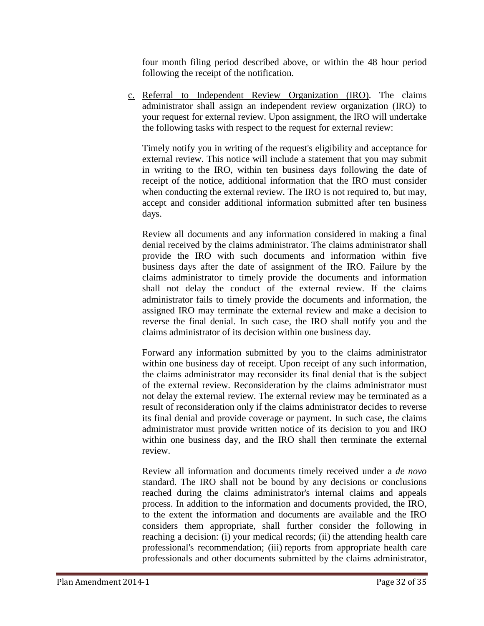four month filing period described above, or within the 48 hour period following the receipt of the notification.

c. Referral to Independent Review Organization (IRO). The claims administrator shall assign an independent review organization (IRO) to your request for external review. Upon assignment, the IRO will undertake the following tasks with respect to the request for external review:

Timely notify you in writing of the request's eligibility and acceptance for external review. This notice will include a statement that you may submit in writing to the IRO, within ten business days following the date of receipt of the notice, additional information that the IRO must consider when conducting the external review. The IRO is not required to, but may, accept and consider additional information submitted after ten business days.

Review all documents and any information considered in making a final denial received by the claims administrator. The claims administrator shall provide the IRO with such documents and information within five business days after the date of assignment of the IRO. Failure by the claims administrator to timely provide the documents and information shall not delay the conduct of the external review. If the claims administrator fails to timely provide the documents and information, the assigned IRO may terminate the external review and make a decision to reverse the final denial. In such case, the IRO shall notify you and the claims administrator of its decision within one business day.

Forward any information submitted by you to the claims administrator within one business day of receipt. Upon receipt of any such information, the claims administrator may reconsider its final denial that is the subject of the external review. Reconsideration by the claims administrator must not delay the external review. The external review may be terminated as a result of reconsideration only if the claims administrator decides to reverse its final denial and provide coverage or payment. In such case, the claims administrator must provide written notice of its decision to you and IRO within one business day, and the IRO shall then terminate the external review.

Review all information and documents timely received under a *de novo* standard. The IRO shall not be bound by any decisions or conclusions reached during the claims administrator's internal claims and appeals process. In addition to the information and documents provided, the IRO, to the extent the information and documents are available and the IRO considers them appropriate, shall further consider the following in reaching a decision: (i) your medical records; (ii) the attending health care professional's recommendation; (iii) reports from appropriate health care professionals and other documents submitted by the claims administrator,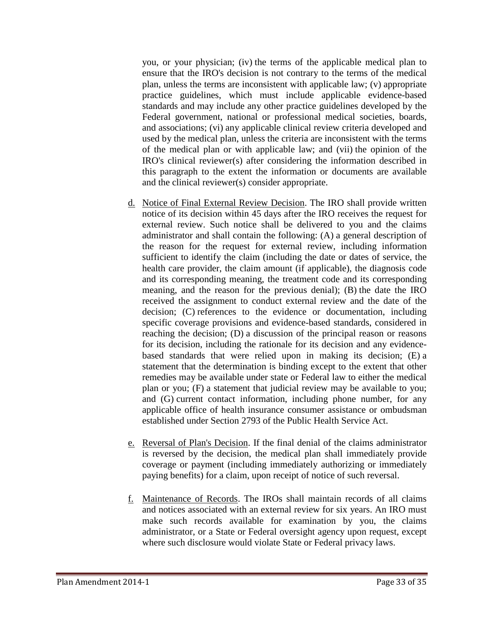you, or your physician; (iv) the terms of the applicable medical plan to ensure that the IRO's decision is not contrary to the terms of the medical plan, unless the terms are inconsistent with applicable law; (v) appropriate practice guidelines, which must include applicable evidence-based standards and may include any other practice guidelines developed by the Federal government, national or professional medical societies, boards, and associations; (vi) any applicable clinical review criteria developed and used by the medical plan, unless the criteria are inconsistent with the terms of the medical plan or with applicable law; and (vii) the opinion of the IRO's clinical reviewer(s) after considering the information described in this paragraph to the extent the information or documents are available and the clinical reviewer(s) consider appropriate.

- d. Notice of Final External Review Decision. The IRO shall provide written notice of its decision within 45 days after the IRO receives the request for external review. Such notice shall be delivered to you and the claims administrator and shall contain the following: (A) a general description of the reason for the request for external review, including information sufficient to identify the claim (including the date or dates of service, the health care provider, the claim amount (if applicable), the diagnosis code and its corresponding meaning, the treatment code and its corresponding meaning, and the reason for the previous denial); (B) the date the IRO received the assignment to conduct external review and the date of the decision; (C) references to the evidence or documentation, including specific coverage provisions and evidence-based standards, considered in reaching the decision; (D) a discussion of the principal reason or reasons for its decision, including the rationale for its decision and any evidencebased standards that were relied upon in making its decision; (E) a statement that the determination is binding except to the extent that other remedies may be available under state or Federal law to either the medical plan or you; (F) a statement that judicial review may be available to you; and (G) current contact information, including phone number, for any applicable office of health insurance consumer assistance or ombudsman established under Section 2793 of the Public Health Service Act.
- e. Reversal of Plan's Decision. If the final denial of the claims administrator is reversed by the decision, the medical plan shall immediately provide coverage or payment (including immediately authorizing or immediately paying benefits) for a claim, upon receipt of notice of such reversal.
- f. Maintenance of Records. The IROs shall maintain records of all claims and notices associated with an external review for six years. An IRO must make such records available for examination by you, the claims administrator, or a State or Federal oversight agency upon request, except where such disclosure would violate State or Federal privacy laws.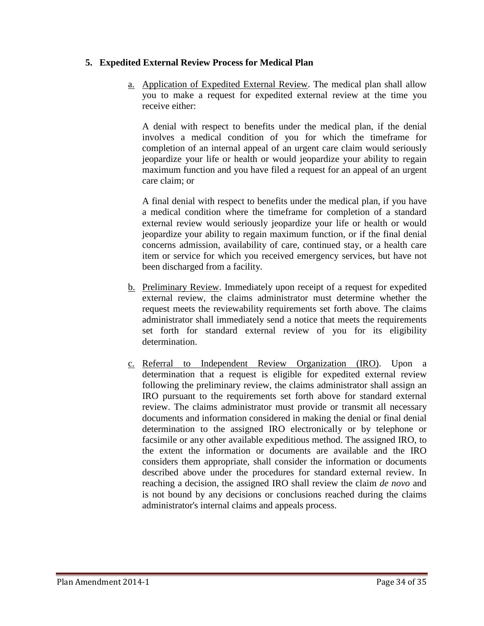## **5. Expedited External Review Process for Medical Plan**

a. Application of Expedited External Review. The medical plan shall allow you to make a request for expedited external review at the time you receive either:

A denial with respect to benefits under the medical plan, if the denial involves a medical condition of you for which the timeframe for completion of an internal appeal of an urgent care claim would seriously jeopardize your life or health or would jeopardize your ability to regain maximum function and you have filed a request for an appeal of an urgent care claim; or

A final denial with respect to benefits under the medical plan, if you have a medical condition where the timeframe for completion of a standard external review would seriously jeopardize your life or health or would jeopardize your ability to regain maximum function, or if the final denial concerns admission, availability of care, continued stay, or a health care item or service for which you received emergency services, but have not been discharged from a facility.

- b. Preliminary Review. Immediately upon receipt of a request for expedited external review, the claims administrator must determine whether the request meets the reviewability requirements set forth above. The claims administrator shall immediately send a notice that meets the requirements set forth for standard external review of you for its eligibility determination.
- c. Referral to Independent Review Organization (IRO). Upon a determination that a request is eligible for expedited external review following the preliminary review, the claims administrator shall assign an IRO pursuant to the requirements set forth above for standard external review. The claims administrator must provide or transmit all necessary documents and information considered in making the denial or final denial determination to the assigned IRO electronically or by telephone or facsimile or any other available expeditious method. The assigned IRO, to the extent the information or documents are available and the IRO considers them appropriate, shall consider the information or documents described above under the procedures for standard external review. In reaching a decision, the assigned IRO shall review the claim *de novo* and is not bound by any decisions or conclusions reached during the claims administrator's internal claims and appeals process.